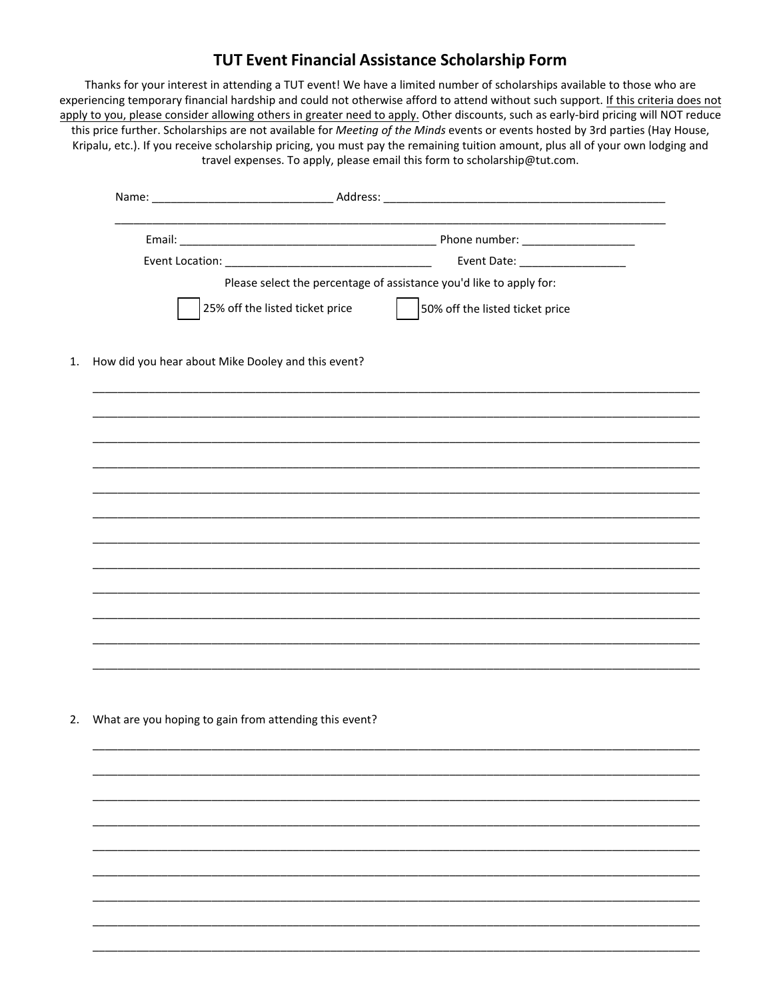## TUT Event Financial Assistance Scholarship Form

Thanks for your interest in attending a TUT event! We have a limited number of scholarships available to those who are experiencing temporary financial hardship and could not otherwise afford to attend without such support. If this criteria does not apply to you, please consider allowing others in greater need to apply. Other discounts, such as early-bird pricing will NOT reduce this price further. Scholarships are not available for Meeting of the Minds events or events hosted by 3rd parties (Hay House, Kripalu, etc.). If you receive scholarship pricing, you must pay the remaining tuition amount, plus all of your own lodging and travel expenses. To apply, please email this form to scholarship@tut.com.

|                                                    | Event Date: ___________________                                     |
|----------------------------------------------------|---------------------------------------------------------------------|
|                                                    | Please select the percentage of assistance you'd like to apply for: |
| 25% off the listed ticket price                    | 50% off the listed ticket price                                     |
| How did you hear about Mike Dooley and this event? |                                                                     |
|                                                    |                                                                     |
|                                                    |                                                                     |
|                                                    |                                                                     |
|                                                    |                                                                     |
|                                                    |                                                                     |
|                                                    |                                                                     |
|                                                    |                                                                     |
|                                                    |                                                                     |
|                                                    |                                                                     |
|                                                    |                                                                     |
|                                                    |                                                                     |
|                                                    |                                                                     |

2. What are you hoping to gain from attending this event?